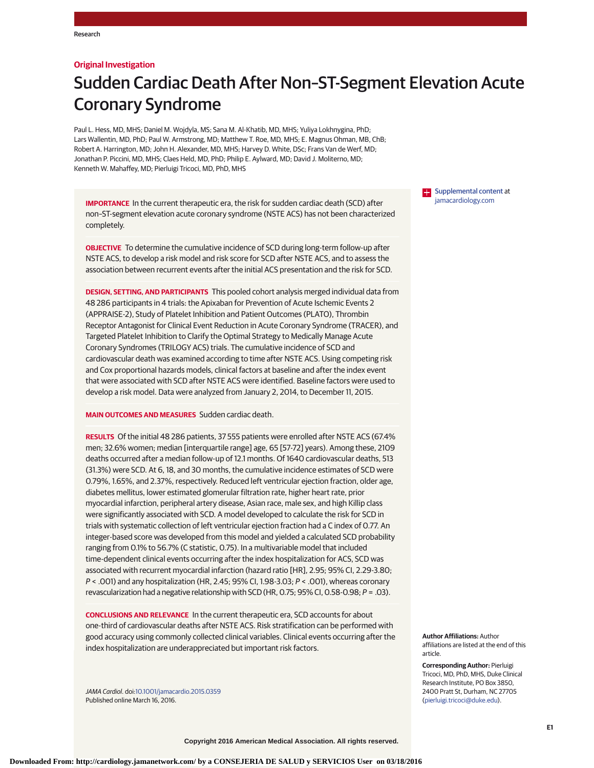## **Original Investigation**

# Sudden Cardiac Death After Non–ST-Segment Elevation Acute Coronary Syndrome

Paul L. Hess, MD, MHS; Daniel M. Wojdyla, MS; Sana M. Al-Khatib, MD, MHS; Yuliya Lokhnygina, PhD; Lars Wallentin, MD, PhD; Paul W. Armstrong, MD; Matthew T. Roe, MD, MHS; E. Magnus Ohman, MB, ChB; Robert A. Harrington, MD; John H. Alexander, MD, MHS; Harvey D. White, DSc; Frans Van de Werf, MD; Jonathan P. Piccini, MD, MHS; Claes Held, MD, PhD; Philip E. Aylward, MD; David J. Moliterno, MD; Kenneth W. Mahaffey, MD; Pierluigi Tricoci, MD, PhD, MHS

**IMPORTANCE** In the current therapeutic era, the risk for sudden cardiac death (SCD) after non–ST-segment elevation acute coronary syndrome (NSTE ACS) has not been characterized completely.

**OBJECTIVE** To determine the cumulative incidence of SCD during long-term follow-up after NSTE ACS, to develop a risk model and risk score for SCD after NSTE ACS, and to assess the association between recurrent events after the initial ACS presentation and the risk for SCD.

**DESIGN, SETTING, AND PARTICIPANTS** This pooled cohort analysis merged individual data from 48 286 participants in 4 trials: the Apixaban for Prevention of Acute Ischemic Events 2 (APPRAISE-2), Study of Platelet Inhibition and Patient Outcomes (PLATO), Thrombin Receptor Antagonist for Clinical Event Reduction in Acute Coronary Syndrome (TRACER), and Targeted Platelet Inhibition to Clarify the Optimal Strategy to Medically Manage Acute Coronary Syndromes (TRILOGY ACS) trials. The cumulative incidence of SCD and cardiovascular death was examined according to time after NSTE ACS. Using competing risk and Cox proportional hazards models, clinical factors at baseline and after the index event that were associated with SCD after NSTE ACS were identified. Baseline factors were used to develop a risk model. Data were analyzed from January 2, 2014, to December 11, 2015.

## **MAIN OUTCOMES AND MEASURES** Sudden cardiac death.

**RESULTS** Of the initial 48 286 patients, 37 555 patients were enrolled after NSTE ACS (67.4% men; 32.6% women; median [interquartile range] age, 65 [57-72] years). Among these, 2109 deaths occurred after a median follow-up of 12.1 months. Of 1640 cardiovascular deaths, 513 (31.3%) were SCD. At 6, 18, and 30 months, the cumulative incidence estimates of SCD were 0.79%, 1.65%, and 2.37%, respectively. Reduced left ventricular ejection fraction, older age, diabetes mellitus, lower estimated glomerular filtration rate, higher heart rate, prior myocardial infarction, peripheral artery disease, Asian race, male sex, and high Killip class were significantly associated with SCD. A model developed to calculate the risk for SCD in trials with systematic collection of left ventricular ejection fraction had a C index of 0.77. An integer-based score was developed from this model and yielded a calculated SCD probability ranging from 0.1% to 56.7% (C statistic, 0.75). In a multivariable model that included time-dependent clinical events occurring after the index hospitalization for ACS, SCD was associated with recurrent myocardial infarction (hazard ratio [HR], 2.95; 95% CI, 2.29-3.80; P < .001) and any hospitalization (HR, 2.45; 95% CI, 1.98-3.03; P < .001), whereas coronary revascularization had a negative relationship with SCD (HR, 0.75; 95% CI, 0.58-0.98; P = .03).

**CONCLUSIONS AND RELEVANCE** In the current therapeutic era, SCD accounts for about one-third of cardiovascular deaths after NSTE ACS. Risk stratification can be performed with good accuracy using commonly collected clinical variables. Clinical events occurring after the index hospitalization are underappreciated but important risk factors.

JAMA Cardiol. doi[:10.1001/jamacardio.2015.0359](http://jama.jamanetwork.com/article.aspx?doi=10.1001/jamacardio.2015.0359&utm_campaign=articlePDF%26utm_medium=articlePDFlink%26utm_source=articlePDF%26utm_content=jamacardio.2015.0359) Published online March 16, 2016.

[Supplemental content](http://jama.jamanetwork.com/article.aspx?doi=10.1001/jamacardio.2015.0359&utm_campaign=articlePDF%26utm_medium=articlePDFlink%26utm_source=articlePDF%26utm_content=jamacardio.2015.0359) at [jamacardiology.com](http://www.jamacardiology.com/?utm_campaign=articlePDF%26utm_medium=articlePDFlink%26utm_source=articlePDF%26utm_content=jamacardio.2015.0359)

**Author Affiliations:** Author affiliations are listed at the end of this article.

**Corresponding Author:** Pierluigi Tricoci, MD, PhD, MHS, Duke Clinical Research Institute, PO Box 3850, 2400 Pratt St, Durham, NC 27705 [\(pierluigi.tricoci@duke.edu\)](mailto:pierluigi.tricoci@duke.edu).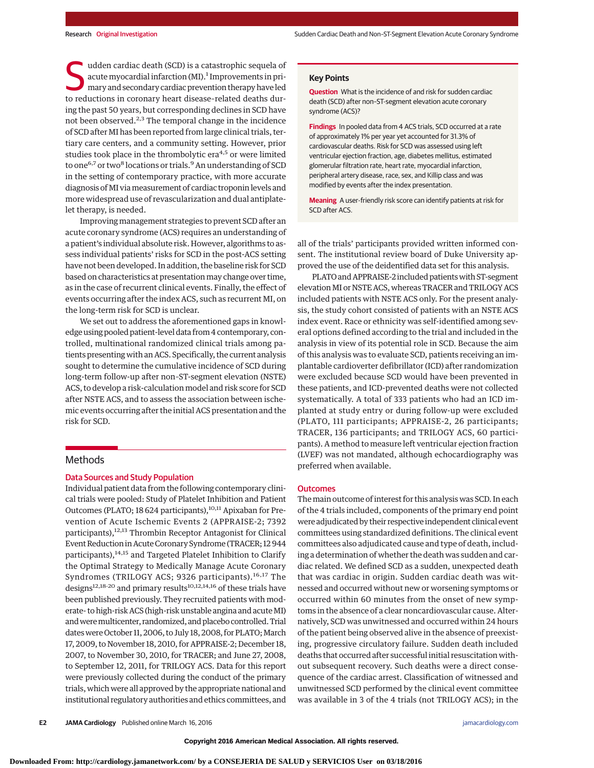udden cardiac death (SCD) is a catastrophic sequela of acute myocardial infarction (MI).<sup>1</sup> Improvements in primary and secondary cardiac prevention therapy have led to reductions in coronary heart disease–related deaths during the past 50 years, but corresponding declines in SCD have not been observed.<sup>2,3</sup> The temporal change in the incidence of SCD after MI has been reported from large clinical trials, tertiary care centers, and a community setting. However, prior studies took place in the thrombolytic era $4,5$  or were limited to one<sup>6,7</sup> or two<sup>8</sup> locations or trials.<sup>9</sup> An understanding of SCD in the setting of contemporary practice, with more accurate diagnosis ofMI viameasurement of cardiac troponin levels and more widespread use of revascularization and dual antiplatelet therapy, is needed.

Improving management strategies to prevent SCD after an acute coronary syndrome (ACS) requires an understanding of a patient's individual absolute risk. However, algorithms to assess individual patients' risks for SCD in the post-ACS setting have not been developed. In addition, the baseline risk for SCD based on characteristics at presentation may change over time, as in the case of recurrent clinical events. Finally, the effect of events occurring after the index ACS, such as recurrent MI, on the long-term risk for SCD is unclear.

We set out to address the aforementioned gaps in knowledge using pooled patient-level data from 4 contemporary, controlled, multinational randomized clinical trials among patients presenting with an ACS. Specifically, the current analysis sought to determine the cumulative incidence of SCD during long-term follow-up after non–ST-segment elevation (NSTE) ACS, to develop a risk-calculation model and risk score for SCD after NSTE ACS, and to assess the association between ischemic events occurring after the initial ACS presentation and the risk for SCD.

## Methods

#### Data Sources and Study Population

Individual patient data from the following contemporary clinical trials were pooled: Study of Platelet Inhibition and Patient Outcomes (PLATO; 18 624 participants),<sup>10,11</sup> Apixaban for Prevention of Acute Ischemic Events 2 (APPRAISE-2; 7392 participants),<sup>12,13</sup> Thrombin Receptor Antagonist for Clinical Event Reduction in Acute Coronary Syndrome (TRACER; 12 944 participants),<sup>14,15</sup> and Targeted Platelet Inhibition to Clarify the Optimal Strategy to Medically Manage Acute Coronary Syndromes (TRILOGY ACS; 9326 participants).<sup>16,17</sup> The designs<sup>12,18-20</sup> and primary results<sup>10,12,14,16</sup> of these trials have been published previously. They recruited patients with moderate- to high-risk ACS (high-risk unstable angina and acuteMI) and were multicenter, randomized, and placebo controlled. Trial dates were October 11, 2006, to July 18, 2008, for PLATO; March 17, 2009, to November 18, 2010, for APPRAISE-2; December 18, 2007, to November 30, 2010, for TRACER; and June 27, 2008, to September 12, 2011, for TRILOGY ACS. Data for this report were previously collected during the conduct of the primary trials, which were all approved by the appropriate national and institutional regulatory authorities and ethics committees, and

#### **Key Points**

**Question** What is the incidence of and risk for sudden cardiac death (SCD) after non–ST-segment elevation acute coronary syndrome (ACS)?

**Findings** In pooled data from 4 ACS trials, SCD occurred at a rate of approximately 1% per year yet accounted for 31.3% of cardiovascular deaths. Risk for SCD was assessed using left ventricular ejection fraction, age, diabetes mellitus, estimated glomerular filtration rate, heart rate, myocardial infarction, peripheral artery disease, race, sex, and Killip class and was modified by events after the index presentation.

**Meaning** A user-friendly risk score can identify patients at risk for SCD after ACS.

all of the trials' participants provided written informed consent. The institutional review board of Duke University approved the use of the deidentified data set for this analysis.

PLATO and APPRAISE-2 included patients with ST-segment elevation MI or NSTE ACS, whereas TRACER and TRILOGY ACS included patients with NSTE ACS only. For the present analysis, the study cohort consisted of patients with an NSTE ACS index event. Race or ethnicity was self-identified among several options defined according to the trial and included in the analysis in view of its potential role in SCD. Because the aim of this analysis was to evaluate SCD, patients receiving an implantable cardioverter defibrillator (ICD) after randomization were excluded because SCD would have been prevented in these patients, and ICD-prevented deaths were not collected systematically. A total of 333 patients who had an ICD implanted at study entry or during follow-up were excluded (PLATO, 111 participants; APPRAISE-2, 26 participants; TRACER, 136 participants; and TRILOGY ACS, 60 participants). A method to measure left ventricular ejection fraction (LVEF) was not mandated, although echocardiography was preferred when available.

#### **Outcomes**

The main outcome of interest for this analysis was SCD. In each of the 4 trials included, components of the primary end point were adjudicated by their respective independent clinical event committees using standardized definitions. The clinical event committees also adjudicated cause and type of death, including a determination of whether the death was sudden and cardiac related. We defined SCD as a sudden, unexpected death that was cardiac in origin. Sudden cardiac death was witnessed and occurred without new or worsening symptoms or occurred within 60 minutes from the onset of new symptoms in the absence of a clear noncardiovascular cause. Alternatively, SCD was unwitnessed and occurred within 24 hours of the patient being observed alive in the absence of preexisting, progressive circulatory failure. Sudden death included deaths that occurred after successful initial resuscitation without subsequent recovery. Such deaths were a direct consequence of the cardiac arrest. Classification of witnessed and unwitnessed SCD performed by the clinical event committee was available in 3 of the 4 trials (not TRILOGY ACS); in the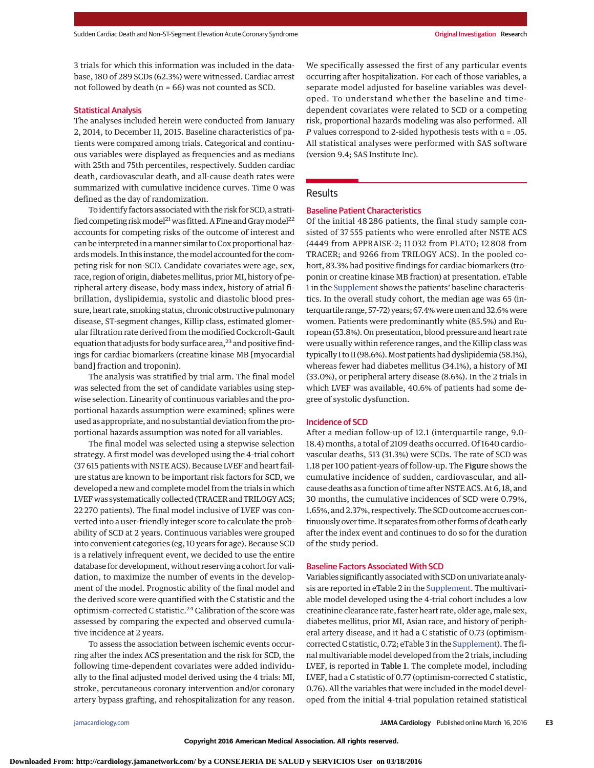3 trials for which this information was included in the database, 180 of 289 SCDs (62.3%) were witnessed. Cardiac arrest not followed by death ( $n = 66$ ) was not counted as SCD.

## Statistical Analysis

The analyses included herein were conducted from January 2, 2014, to December 11, 2015. Baseline characteristics of patients were compared among trials. Categorical and continuous variables were displayed as frequencies and as medians with 25th and 75th percentiles, respectively. Sudden cardiac death, cardiovascular death, and all-cause death rates were summarized with cumulative incidence curves. Time 0 was defined as the day of randomization.

To identify factors associated with the risk for SCD, a stratified competing risk model<sup>21</sup> was fitted. A Fine and Gray model<sup>22</sup> accounts for competing risks of the outcome of interest and can be interpreted in amanner similar to Cox proportional hazardsmodels. In this instance, themodel accounted for the competing risk for non-SCD. Candidate covariates were age, sex, race, region of origin, diabetes mellitus, prior MI, history of peripheral artery disease, body mass index, history of atrial fibrillation, dyslipidemia, systolic and diastolic blood pressure, heart rate, smoking status, chronic obstructive pulmonary disease, ST-segment changes, Killip class, estimated glomerular filtration rate derived from the modified Cockcroft-Gault equation that adjusts for body surface area,<sup>23</sup> and positive findings for cardiac biomarkers (creatine kinase MB [myocardial band] fraction and troponin).

The analysis was stratified by trial arm. The final model was selected from the set of candidate variables using stepwise selection. Linearity of continuous variables and the proportional hazards assumption were examined; splines were used as appropriate, and no substantial deviation from the proportional hazards assumption was noted for all variables.

The final model was selected using a stepwise selection strategy. A first model was developed using the 4-trial cohort (37 615 patients with NSTE ACS). Because LVEF and heart failure status are known to be important risk factors for SCD, we developed a new and complete model from the trials in which LVEF was systematically collected (TRACER and TRILOGY ACS; 22 270 patients). The final model inclusive of LVEF was converted into a user-friendly integer score to calculate the probability of SCD at 2 years. Continuous variables were grouped into convenient categories (eg, 10 years for age). Because SCD is a relatively infrequent event, we decided to use the entire database for development, without reserving a cohort for validation, to maximize the number of events in the development of the model. Prognostic ability of the final model and the derived score were quantified with the C statistic and the optimism-corrected C statistic.<sup>24</sup> Calibration of the score was assessed by comparing the expected and observed cumulative incidence at 2 years.

To assess the association between ischemic events occurring after the index ACS presentation and the risk for SCD, the following time-dependent covariates were added individually to the final adjusted model derived using the 4 trials: MI, stroke, percutaneous coronary intervention and/or coronary artery bypass grafting, and rehospitalization for any reason.

We specifically assessed the first of any particular events occurring after hospitalization. For each of those variables, a separate model adjusted for baseline variables was developed. To understand whether the baseline and timedependent covariates were related to SCD or a competing risk, proportional hazards modeling was also performed. All *P* values correspond to 2-sided hypothesis tests with α = .05. All statistical analyses were performed with SAS software (version 9.4; SAS Institute Inc).

## Results

## Baseline Patient Characteristics

Of the initial 48 286 patients, the final study sample consisted of 37 555 patients who were enrolled after NSTE ACS (4449 from APPRAISE-2; 11 032 from PLATO; 12 808 from TRACER; and 9266 from TRILOGY ACS). In the pooled cohort, 83.3% had positive findings for cardiac biomarkers (troponin or creatine kinase MB fraction) at presentation. eTable 1 in the [Supplement](http://jama.jamanetwork.com/article.aspx?doi=10.1001/jamacardio.2015.0359&utm_campaign=articlePDF%26utm_medium=articlePDFlink%26utm_source=articlePDF%26utm_content=jamacardio.2015.0359) shows the patients' baseline characteristics. In the overall study cohort, the median age was 65 (interquartile range, 57-72) years; 67.4% were men and 32.6% were women. Patients were predominantly white (85.5%) and European (53.8%). On presentation, blood pressure and heart rate were usually within reference ranges, and the Killip class was typically I to II (98.6%). Most patients had dyslipidemia (58.1%), whereas fewer had diabetes mellitus (34.1%), a history of MI (33.0%), or peripheral artery disease (8.6%). In the 2 trials in which LVEF was available, 40.6% of patients had some degree of systolic dysfunction.

## Incidence of SCD

After a median follow-up of 12.1 (interquartile range, 9.0- 18.4) months, a total of 2109 deaths occurred. Of 1640 cardiovascular deaths, 513 (31.3%) were SCDs. The rate of SCD was 1.18 per 100 patient-years of follow-up. The Figure shows the cumulative incidence of sudden, cardiovascular, and allcause deaths as a function of time after NSTE ACS. At 6, 18, and 30 months, the cumulative incidences of SCD were 0.79%, 1.65%, and 2.37%, respectively. The SCD outcome accrues continuously over time. It separates from other forms of death early after the index event and continues to do so for the duration of the study period.

## Baseline Factors Associated With SCD

Variables significantly associated with SCD on univariate analysis are reported in eTable 2 in the [Supplement.](http://jama.jamanetwork.com/article.aspx?doi=10.1001/jamacardio.2015.0359&utm_campaign=articlePDF%26utm_medium=articlePDFlink%26utm_source=articlePDF%26utm_content=jamacardio.2015.0359) The multivariable model developed using the 4-trial cohort includes a low creatinine clearance rate, faster heart rate, older age, male sex, diabetes mellitus, prior MI, Asian race, and history of peripheral artery disease, and it had a C statistic of 0.73 (optimismcorrected C statistic, 0.72; eTable 3 in the [Supplement\)](http://jama.jamanetwork.com/article.aspx?doi=10.1001/jamacardio.2015.0359&utm_campaign=articlePDF%26utm_medium=articlePDFlink%26utm_source=articlePDF%26utm_content=jamacardio.2015.0359). The final multivariable model developed from the 2 trials, including LVEF, is reported in Table 1. The complete model, including LVEF, had a C statistic of 0.77 (optimism-corrected C statistic, 0.76). All the variables that were included in the model developed from the initial 4-trial population retained statistical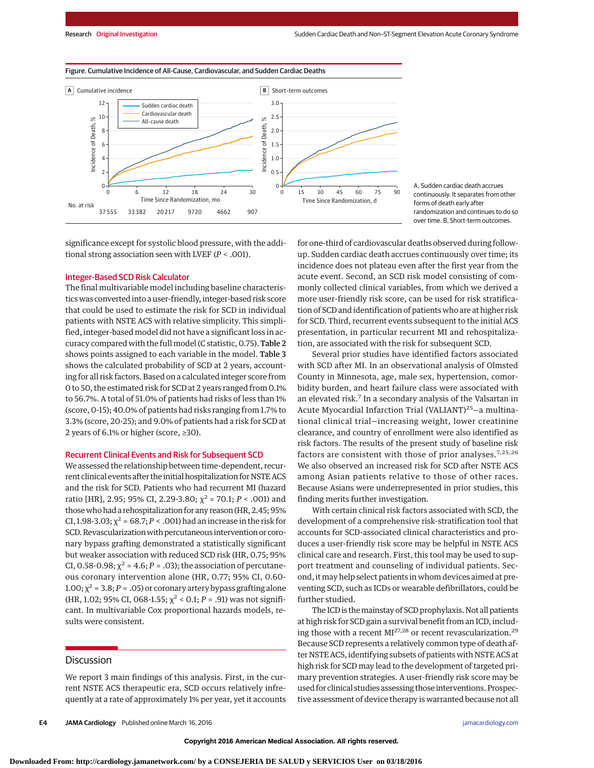#### Figure. Cumulative Incidence of All-Cause, Cardiovascular, and Sudden Cardiac Deaths



A, Sudden cardiac death accrues continuously. It separates from other forms of death early after randomization and continues to do so over time. B, Short-term outcomes.

significance except for systolic blood pressure, with the additional strong association seen with LVEF (*P* < .001).

## Integer-Based SCD Risk Calculator

The final multivariable model including baseline characteristics was converted into a user-friendly, integer-based risk score that could be used to estimate the risk for SCD in individual patients with NSTE ACS with relative simplicity. This simplified, integer-based model did not have a significant loss in accuracy compared with the full model (C statistic, 0.75).Table 2 shows points assigned to each variable in the model. Table 3 shows the calculated probability of SCD at 2 years, accounting for all risk factors. Based on a calculated integer score from 0 to 50, the estimated risk for SCD at 2 years ranged from 0.1% to 56.7%. A total of 51.0% of patients had risks of less than 1% (score, 0-15); 40.0% of patients had risks ranging from 1.7% to 3.3% (score, 20-25); and 9.0% of patients had a risk for SCD at 2 years of 6.1% or higher (score, ≥30).

#### Recurrent Clinical Events and Risk for Subsequent SCD

We assessed the relationship between time-dependent, recurrent clinical events after the initial hospitalization for NSTE ACS and the risk for SCD. Patients who had recurrent MI (hazard ratio [HR], 2.95; 95% CI, 2.29-3.80;  $\chi^2$  = 70.1; *P* < .001) and thosewho had a rehospitalization for any reason (HR, 2.45; 95% CI, 1.98-3.03;  $\chi^2$  = 68.7; *P* < .001) had an increase in the risk for SCD. Revascularization with percutaneous intervention or coronary bypass grafting demonstrated a statistically significant but weaker association with reduced SCD risk (HR, 0.75; 95% CI, 0.58-0.98;  $\chi^2$  = 4.6; *P* = .03); the association of percutaneous coronary intervention alone (HR, 0.77; 95% CI, 0.60-  $1.00$ ;  $\chi^2$  = 3.8; *P* = .05) or coronary artery bypass grafting alone (HR, 1.02; 95% CI, 068-1.55;  $\chi^2$  < 0.1; *P* = .91) was not significant. In multivariable Cox proportional hazards models, results were consistent.

## Discussion

We report 3 main findings of this analysis. First, in the current NSTE ACS therapeutic era, SCD occurs relatively infrequently at a rate of approximately 1% per year, yet it accounts for one-third of cardiovascular deaths observed during followup. Sudden cardiac death accrues continuously over time; its incidence does not plateau even after the first year from the acute event. Second, an SCD risk model consisting of commonly collected clinical variables, from which we derived a more user-friendly risk score, can be used for risk stratification of SCD and identification of patients who are at higher risk for SCD. Third, recurrent events subsequent to the initial ACS presentation, in particular recurrent MI and rehospitalization, are associated with the risk for subsequent SCD.

Several prior studies have identified factors associated with SCD after MI. In an observational analysis of Olmsted County in Minnesota, age, male sex, hypertension, comorbidity burden, and heart failure class were associated with an elevated risk.<sup>7</sup> In a secondary analysis of the Valsartan in Acute Myocardial Infarction Trial (VALIANT)<sup>25</sup>-a multinational clinical trial—increasing weight, lower creatinine clearance, and country of enrollment were also identified as risk factors. The results of the present study of baseline risk factors are consistent with those of prior analyses.<sup>7,25,26</sup> We also observed an increased risk for SCD after NSTE ACS among Asian patients relative to those of other races. Because Asians were underrepresented in prior studies, this finding merits further investigation.

With certain clinical risk factors associated with SCD, the development of a comprehensive risk-stratification tool that accounts for SCD-associated clinical characteristics and produces a user-friendly risk score may be helpful in NSTE ACS clinical care and research. First, this tool may be used to support treatment and counseling of individual patients. Second, it may help select patients in whom devices aimed at preventing SCD, such as ICDs or wearable defibrillators, could be further studied.

The ICD is the mainstay of SCD prophylaxis. Not all patients at high risk for SCD gain a survival benefit from an ICD, including those with a recent  $MI^{27,28}$  or recent revascularization.<sup>29</sup> Because SCD represents a relatively common type of death after NSTE ACS, identifying subsets of patients with NSTE ACS at high risk for SCD may lead to the development of targeted primary prevention strategies. A user-friendly risk score may be used for clinical studies assessing those interventions. Prospective assessment of device therapy is warranted because not all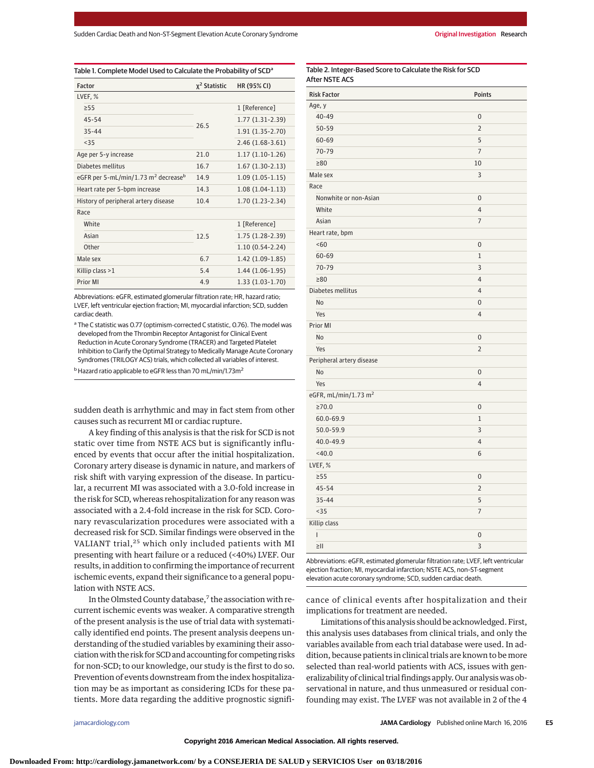| Table 1. Complete Model Used to Calculate the Probability of SCD <sup>a</sup> |
|-------------------------------------------------------------------------------|
|-------------------------------------------------------------------------------|

| <b>Factor</b>                                               | χ <sup>2</sup> Statistic | HR (95% CI)       |
|-------------------------------------------------------------|--------------------------|-------------------|
| LVEF, %                                                     |                          |                   |
| >55                                                         |                          | 1 [Reference]     |
| $45 - 54$                                                   | 26.5                     | $1.77(1.31-2.39)$ |
| $35 - 44$                                                   |                          | $1.91(1.35-2.70)$ |
| < 35                                                        |                          | $2.46(1.68-3.61)$ |
| Age per 5-y increase                                        | 21.0                     | $1.17(1.10-1.26)$ |
| Diabetes mellitus                                           | 16.7                     | $1.67(1.30-2.13)$ |
| eGFR per 5-mL/min/1.73 m <sup>2</sup> decrease <sup>b</sup> | 14.9                     | $1.09(1.05-1.15)$ |
| Heart rate per 5-bpm increase                               | 14.3                     | $1.08(1.04-1.13)$ |
| History of peripheral artery disease                        | 10.4                     | $1.70(1.23-2.34)$ |
| Race                                                        |                          |                   |
| White                                                       |                          | 1 [Reference]     |
| Asian                                                       | 12.5                     | $1.75(1.28-2.39)$ |
| Other                                                       |                          | $1.10(0.54-2.24)$ |
| Male sex                                                    | 6.7                      | $1.42(1.09-1.85)$ |
| Killip class $>1$                                           | 5.4                      | $1.44(1.06-1.95)$ |
| Prior MI                                                    | 4.9                      | $1.33(1.03-1.70)$ |

Abbreviations: eGFR, estimated glomerular filtration rate; HR, hazard ratio; LVEF, left ventricular ejection fraction; MI, myocardial infarction; SCD, sudden cardiac death.

<sup>a</sup> The C statistic was 0.77 (optimism-corrected C statistic, 0.76). The model was developed from the Thrombin Receptor Antagonist for Clinical Event Reduction in Acute Coronary Syndrome (TRACER) and Targeted Platelet Inhibition to Clarify the Optimal Strategy to Medically Manage Acute Coronary Syndromes (TRILOGY ACS) trials, which collected all variables of interest.

b Hazard ratio applicable to eGFR less than 70 mL/min/1.73m<sup>2</sup>

sudden death is arrhythmic and may in fact stem from other causes such as recurrent MI or cardiac rupture.

A key finding of this analysis is that the risk for SCD is not static over time from NSTE ACS but is significantly influenced by events that occur after the initial hospitalization. Coronary artery disease is dynamic in nature, and markers of risk shift with varying expression of the disease. In particular, a recurrent MI was associated with a 3.0-fold increase in the risk for SCD, whereas rehospitalization for any reason was associated with a 2.4-fold increase in the risk for SCD. Coronary revascularization procedures were associated with a decreased risk for SCD. Similar findings were observed in the VALIANT trial,<sup>25</sup> which only included patients with MI presenting with heart failure or a reduced (<40%) LVEF. Our results, in addition to confirming the importance of recurrent ischemic events, expand their significance to a general population with NSTE ACS.

In the Olmsted County database,<sup>7</sup> the association with recurrent ischemic events was weaker. A comparative strength of the present analysis is the use of trial data with systematically identified end points. The present analysis deepens understanding of the studied variables by examining their association with the risk for SCD and accounting for competing risks for non-SCD; to our knowledge, our study is the first to do so. Prevention of events downstream from the index hospitalization may be as important as considering ICDs for these patients. More data regarding the additive prognostic signifi-

| <b>Risk Factor</b>               | <b>Points</b>  |
|----------------------------------|----------------|
| Age, y                           |                |
| $40 - 49$                        | 0              |
| $50 - 59$                        | $\overline{2}$ |
| $60 - 69$                        | 5              |
| 70-79                            | $\overline{7}$ |
| $\geq 80$                        | 10             |
| Male sex                         | 3              |
| Race                             |                |
| Nonwhite or non-Asian            | 0              |
| White                            | $\overline{4}$ |
| Asian                            | 7              |
| Heart rate, bpm                  |                |
| <60                              | 0              |
| 60-69                            | $\mathbf{1}$   |
| 70-79                            | 3              |
| $\geq 80$                        | $\overline{4}$ |
| Diabetes mellitus                | $\overline{4}$ |
| No                               | $\mathbf 0$    |
| Yes                              | $\overline{4}$ |
| Prior MI                         |                |
| No                               | $\mathbf 0$    |
| Yes                              | $\overline{2}$ |
| Peripheral artery disease        |                |
| No                               | 0              |
| Yes                              | $\overline{4}$ |
| eGFR, mL/min/1.73 m <sup>2</sup> |                |
| $\geq 70.0$                      | 0              |
| 60.0-69.9                        | $\mathbf{1}$   |
| 50.0-59.9                        | 3              |
| 40.0-49.9                        | $\overline{4}$ |
| < 40.0                           | 6              |
| LVEF, %                          |                |
| $\geq 55$                        | 0              |
| $45 - 54$                        | $\overline{2}$ |
| $35 - 44$                        | 5              |
| $35$                             | $\overline{7}$ |
| Killip class                     |                |
| L                                | 0              |
| $\geq$                           | 3              |

Abbreviations: eGFR, estimated glomerular filtration rate; LVEF, left ventricular ejection fraction; MI, myocardial infarction; NSTE ACS, non–ST-segment elevation acute coronary syndrome; SCD, sudden cardiac death.

cance of clinical events after hospitalization and their implications for treatment are needed.

Limitations of this analysis should be acknowledged. First, this analysis uses databases from clinical trials, and only the variables available from each trial database were used. In addition, because patients in clinical trials are known to be more selected than real-world patients with ACS, issues with generalizability of clinical trial findings apply. Our analysis was observational in nature, and thus unmeasured or residual confounding may exist. The LVEF was not available in 2 of the 4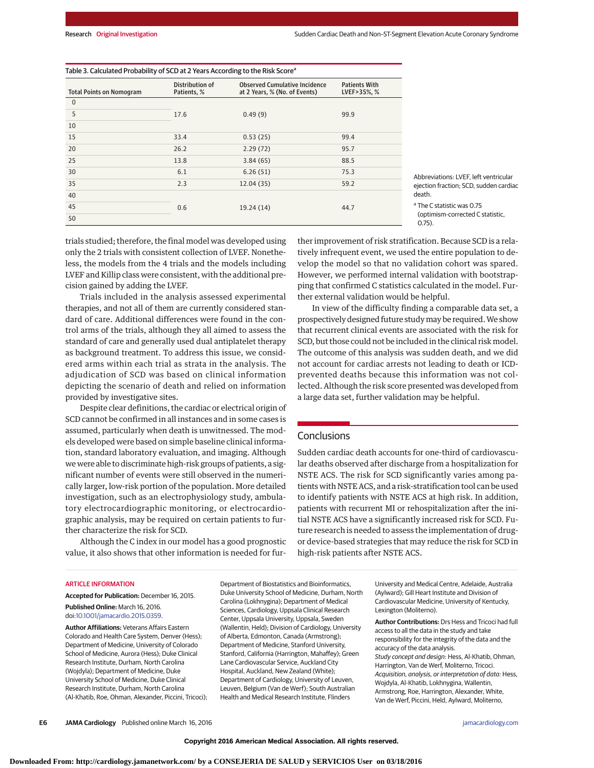| <b>Total Points on Nomogram</b> | Distribution of<br>Patients, % | <b>Observed Cumulative Incidence</b><br>at 2 Years, % (No. of Events) | <b>Patients With</b><br>LVEF>35%, % |
|---------------------------------|--------------------------------|-----------------------------------------------------------------------|-------------------------------------|
| $\mathbf{0}$                    |                                |                                                                       |                                     |
| 5                               | 17.6                           | 0.49(9)                                                               | 99.9                                |
| 10                              |                                |                                                                       |                                     |
| 15                              | 33.4                           | 0.53(25)                                                              | 99.4                                |
| 20                              | 26.2                           | 2.29(72)                                                              | 95.7                                |
| 25                              | 13.8                           | 3.84(65)                                                              | 88.5                                |
| 30                              | 6.1                            | 6.26(51)                                                              | 75.3                                |
| 35                              | 2.3                            | 12.04(35)                                                             | 59.2                                |
| 40                              |                                |                                                                       |                                     |
| 45                              | 0.6                            | 19.24 (14)                                                            | 44.7                                |
| 50                              |                                |                                                                       |                                     |

bbreviations: LVEF, left ventricular ection fraction; SCD, sudden cardiac eath.

The C statistic was 0.75 (optimism-corrected C statistic, 0.75).

trials studied; therefore, the final model was developed using only the 2 trials with consistent collection of LVEF. Nonetheless, the models from the 4 trials and the models including LVEF and Killip class were consistent, with the additional precision gained by adding the LVEF.

Trials included in the analysis assessed experimental therapies, and not all of them are currently considered standard of care. Additional differences were found in the control arms of the trials, although they all aimed to assess the standard of care and generally used dual antiplatelet therapy as background treatment. To address this issue, we considered arms within each trial as strata in the analysis. The adjudication of SCD was based on clinical information depicting the scenario of death and relied on information provided by investigative sites.

Despite clear definitions, the cardiac or electrical origin of SCD cannot be confirmed in all instances and in some cases is assumed, particularly when death is unwitnessed. The models developed were based on simple baseline clinical information, standard laboratory evaluation, and imaging. Although we were able to discriminate high-risk groups of patients, a significant number of events were still observed in the numerically larger, low-risk portion of the population. More detailed investigation, such as an electrophysiology study, ambulatory electrocardiographic monitoring, or electrocardiographic analysis, may be required on certain patients to further characterize the risk for SCD.

Although the C index in our model has a good prognostic value, it also shows that other information is needed for fur-

#### ARTICLE INFORMATION

**Accepted for Publication:** December 16, 2015. **Published Online:** March 16, 2016. doi[:10.1001/jamacardio.2015.0359.](http://jama.jamanetwork.com/article.aspx?doi=10.1001/jamacardio.2015.0359&utm_campaign=articlePDF%26utm_medium=articlePDFlink%26utm_source=articlePDF%26utm_content=jamacardio.2015.0359)

**Author Affiliations:** Veterans Affairs Eastern Colorado and Health Care System, Denver (Hess); Department of Medicine, University of Colorado School of Medicine, Aurora (Hess); Duke Clinical Research Institute, Durham, North Carolina (Wojdyla); Department of Medicine, Duke University School of Medicine, Duke Clinical Research Institute, Durham, North Carolina (Al-Khatib, Roe, Ohman, Alexander, Piccini, Tricoci); Department of Biostatistics and Bioinformatics, Duke University School of Medicine, Durham, North Carolina (Lokhnygina); Department of Medical Sciences, Cardiology, Uppsala Clinical Research Center, Uppsala University, Uppsala, Sweden (Wallentin, Held); Division of Cardiology, University of Alberta, Edmonton, Canada (Armstrong); Department of Medicine, Stanford University, Stanford, California (Harrington, Mahaffey); Green Lane Cardiovascular Service, Auckland City Hospital, Auckland, New Zealand (White); Department of Cardiology, University of Leuven, Leuven, Belgium (Van de Werf); South Australian Health and Medical Research Institute, Flinders

ther improvement of risk stratification. Because SCD is a relatively infrequent event, we used the entire population to develop the model so that no validation cohort was spared. However, we performed internal validation with bootstrapping that confirmed C statistics calculated in the model. Further external validation would be helpful.

In view of the difficulty finding a comparable data set, a prospectively designed future studymay be required.We show that recurrent clinical events are associated with the risk for SCD, but those could not be included in the clinical risk model. The outcome of this analysis was sudden death, and we did not account for cardiac arrests not leading to death or ICDprevented deaths because this information was not collected. Although the risk score presented was developed from a large data set, further validation may be helpful.

## **Conclusions**

Sudden cardiac death accounts for one-third of cardiovascular deaths observed after discharge from a hospitalization for NSTE ACS. The risk for SCD significantly varies among patients with NSTE ACS, and a risk-stratification tool can be used to identify patients with NSTE ACS at high risk. In addition, patients with recurrent MI or rehospitalization after the initial NSTE ACS have a significantly increased risk for SCD. Future research is needed to assess the implementation of drugor device-based strategies that may reduce the risk for SCD in high-risk patients after NSTE ACS.

> University and Medical Centre, Adelaide, Australia (Aylward); Gill Heart Institute and Division of Cardiovascular Medicine, University of Kentucky, Lexington (Moliterno).

**Author Contributions:** Drs Hess and Tricoci had full access to all the data in the study and take responsibility for the integrity of the data and the accuracy of the data analysis. Study concept and design: Hess, Al-Khatib, Ohman, Harrington, Van de Werf, Moliterno, Tricoci. Acquisition, analysis, or interpretation of data: Hess,

Wojdyla, Al-Khatib, Lokhnygina, Wallentin, Armstrong, Roe, Harrington, Alexander, White, Van de Werf, Piccini, Held, Aylward, Moliterno,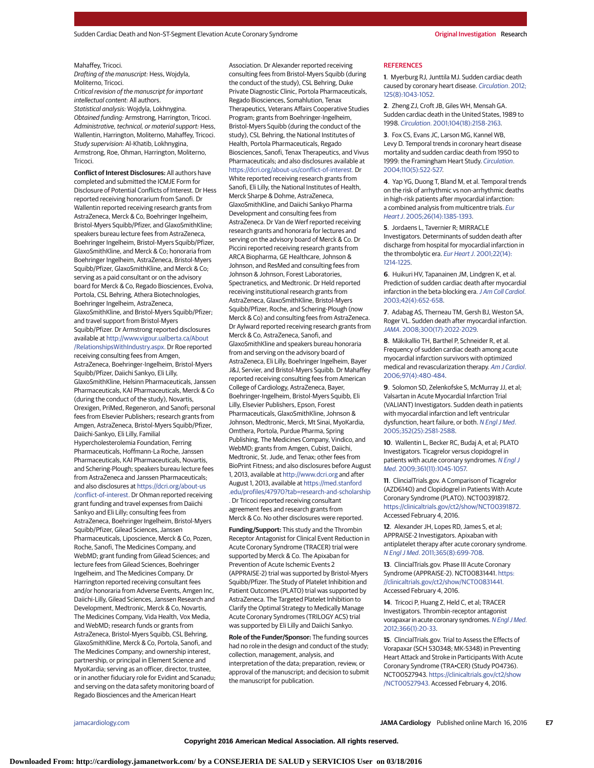Mahaffey, Tricoci. Drafting of the manuscript: Hess, Wojdyla, Moliterno, Tricoci. Critical revision of the manuscript for important intellectual content: All authors. Statistical analysis: Wojdyla, Lokhnygina.

Obtained funding: Armstrong, Harrington, Tricoci. Administrative, technical, or material support: Hess, Wallentin, Harrington, Moliterno, Mahaffey, Tricoci. Study supervision: Al-Khatib, Lokhnygina, Armstrong, Roe, Ohman, Harrington, Moliterno, Tricoci.

**Conflict of Interest Disclosures:** All authors have completed and submitted the ICMJE Form for Disclosure of Potential Conflicts of Interest. Dr Hess reported receiving honorarium from Sanofi. Dr Wallentin reported receiving research grants from AstraZeneca, Merck & Co, Boehringer Ingelheim, Bristol-Myers Squibb/Pfizer, and GlaxoSmithKline; speakers bureau lecture fees from AstraZeneca, Boehringer Ingelheim, Bristol-Myers Squibb/Pfizer, GlaxoSmithKline, and Merck & Co; honoraria from Boehringer Ingelheim, AstraZeneca, Bristol-Myers Squibb/Pfizer, GlaxoSmithKline, and Merck & Co; serving as a paid consultant or on the advisory board for Merck & Co, Regado Biosciences, Evolva, Portola, CSL Behring, Athera Biotechnologies, Boehringer Ingelheim, AstraZeneca, GlaxoSmithKline, and Bristol-Myers Squibb/Pfizer; and travel support from Bristol-Myers Squibb/Pfizer. Dr Armstrong reported disclosures available at [http://www.vigour.ualberta.ca/About](http://www.vigour.ualberta.ca/About/RelationshipsWithIndustry.aspx) [/RelationshipsWithIndustry.aspx.](http://www.vigour.ualberta.ca/About/RelationshipsWithIndustry.aspx) Dr Roe reported receiving consulting fees from Amgen, AstraZeneca, Boehringer-Ingelheim, Bristol-Myers Squibb/Pfizer, Daiichi Sankyo, Eli Lilly, GlaxoSmithKline, Helsinn Pharmaceuticals, Janssen Pharmaceuticals, KAI Pharmaceuticals, Merck & Co (during the conduct of the study), Novartis, Orexigen, PriMed, Regeneron, and Sanofi; personal fees from Elsevier Publishers; research grants from Amgen, AstraZeneca, Bristol-Myers Squibb/Pfizer, Daiichi-Sankyo, Eli Lilly, Familial Hypercholesterolemia Foundation, Ferring Pharmaceuticals, Hoffmann-La Roche, Janssen Pharmaceuticals, KAI Pharmaceuticals, Novartis, and Schering-Plough; speakers bureau lecture fees from AstraZeneca and Janssen Pharmaceuticals; and also disclosures at [https://dcri.org/about-us](https://dcri.org/about-us/conflict-of-interest) [/conflict-of-interest.](https://dcri.org/about-us/conflict-of-interest) Dr Ohman reported receiving

grant funding and travel expenses from Daiichi Sankyo and Eli Lilly; consulting fees from AstraZeneca, Boehringer Ingelheim, Bristol-Myers Squibb/Pfizer, Gilead Sciences, Janssen Pharmaceuticals, Liposcience, Merck & Co, Pozen, Roche, Sanofi, The Medicines Company, and WebMD; grant funding from Gilead Sciences; and lecture fees from Gilead Sciences, Boehringer Ingelheim, and The Medicines Company. Dr Harrington reported receiving consultant fees and/or honoraria from Adverse Events, Amgen Inc, Daiichi-Lilly, Gilead Sciences, Janssen Research and Development, Medtronic, Merck & Co, Novartis, The Medicines Company, Vida Health, Vox Media, and WebMD; research funds or grants from AstraZeneca, Bristol-Myers Squibb, CSL Behring, GlaxoSmithKline, Merck & Co, Portola, Sanofi, and The Medicines Company; and ownership interest, partnership, or principal in Element Science and MyoKardia; serving as an officer, director, trustee, or in another fiduciary role for Evidint and Scanadu; and serving on the data safety monitoring board of Regado Biosciences and the American Heart

Association. Dr Alexander reported receiving consulting fees from Bristol-Myers Squibb (during the conduct of the study), CSL Behring, Duke Private Diagnostic Clinic, Portola Pharmaceuticals, Regado Biosciences, Somahlution, Tenax Therapeutics, Veterans Affairs Cooperative Studies Program; grants from Boehringer-Ingelheim, Bristol-Myers Squibb (during the conduct of the study), CSL Behring, the National Institutes of Health, Portola Pharmaceuticals, Regado Biosciences, Sanofi, Tenax Therapeutics, and Vivus Pharmaceuticals; and also disclosures available at [https://dcri.org/about-us/conflict-of-interest.](https://dcri.org/about-us/conflict-of-interest) Dr White reported receiving research grants from Sanofi, Eli Lilly, the National Institutes of Health, Merck Sharpe & Dohme, AstraZeneca, GlaxoSmithKline, and Daiichi Sankyo Pharma Development and consulting fees from AstraZeneca. Dr Van de Werf reported receiving research grants and honoraria for lectures and serving on the advisory board of Merck & Co. Dr Piccini reported receiving research grants from ARCA Biopharma, GE Healthcare, Johnson & Johnson, and ResMed and consulting fees from Johnson & Johnson, Forest Laboratories, Spectranetics, and Medtronic. Dr Held reported receiving institutional research grants from AstraZeneca, GlaxoSmithKline, Bristol-Myers Squibb/Pfizer, Roche, and Schering-Plough (now Merck & Co) and consulting fees from AstraZeneca. Dr Aylward reported receiving research grants from Merck & Co, AstraZeneca, Sanofi, and GlaxoSmithKline and speakers bureau honoraria from and serving on the advisory board of AstraZeneca, Eli Lilly, Boehringer Ingelheim, Bayer J&J, Servier, and Bristol-Myers Squibb. Dr Mahaffey reported receiving consulting fees from American College of Cardiology, AstraZeneca, Bayer, Boehringer-Ingelheim, Bristol-Myers Squibb, Eli Lilly, Elsevier Publishers, Epson, Forest Pharmaceuticals, GlaxoSmithKline, Johnson & Johnson, Medtronic, Merck, Mt Sinai, MyoKardia, Omthera, Portola, Purdue Pharma, Spring Publishing, The Medicines Company, Vindico, and WebMD; grants from Amgen, Cubist, Daiichi, Medtronic, St. Jude, and Tenax; other fees from BioPrint Fitness; and also disclosures before August 1, 2013, available at <http://www.dcri.org> and after August 1, 2013, available at [https://med.stanford](https://med.stanford.edu/profiles/47970?tab=research-and-scholarship) [.edu/profiles/47970?tab=research-and-scholarship](https://med.stanford.edu/profiles/47970?tab=research-and-scholarship) [.](https://med.stanford.edu/profiles/47970?tab=research-and-scholarship) Dr Tricoci reported receiving consultant agreement fees and research grants from Merck & Co. No other disclosures were reported.

**Funding/Support:** This study and the Thrombin Receptor Antagonist for Clinical Event Reduction in Acute Coronary Syndrome (TRACER) trial were supported by Merck & Co. The Apixaban for Prevention of Acute Ischemic Events 2 (APPRAISE-2) trial was supported by Bristol-Myers Squibb/Pfizer. The Study of Platelet Inhibition and Patient Outcomes (PLATO) trial was supported by AstraZeneca. The Targeted Platelet Inhibition to Clarify the Optimal Strategy to Medically Manage Acute Coronary Syndromes (TRILOGY ACS) trial was supported by Eli Lilly and Daiichi Sankyo.

**Role of the Funder/Sponsor:** The funding sources had no role in the design and conduct of the study; collection, management, analysis, and interpretation of the data; preparation, review, or approval of the manuscript; and decision to submit the manuscript for publication.

#### **REFERENCES**

**1**. Myerburg RJ, Junttila MJ. Sudden cardiac death caused by coronary heart disease. [Circulation](http://www.ncbi.nlm.nih.gov/pubmed/22371442). 2012; [125\(8\):1043-1052.](http://www.ncbi.nlm.nih.gov/pubmed/22371442)

**2**. Zheng ZJ, Croft JB, Giles WH, Mensah GA. Sudden cardiac death in the United States, 1989 to 1998. Circulation[. 2001;104\(18\):2158-2163.](http://www.ncbi.nlm.nih.gov/pubmed/11684624)

**3**. Fox CS, Evans JC, Larson MG, Kannel WB, Levy D. Temporal trends in coronary heart disease mortality and sudden cardiac death from 1950 to 1999: the Framingham Heart Study. [Circulation](http://www.ncbi.nlm.nih.gov/pubmed/15262842). [2004;110\(5\):522-527.](http://www.ncbi.nlm.nih.gov/pubmed/15262842)

**4**. Yap YG, Duong T, Bland M, et al. Temporal trends on the risk of arrhythmic vs non-arrhythmic deaths in high-risk patients after myocardial infarction: a combined analysis from multicentre trials. [Eur](http://www.ncbi.nlm.nih.gov/pubmed/15914501) Heart J[. 2005;26\(14\):1385-1393.](http://www.ncbi.nlm.nih.gov/pubmed/15914501)

**5**. Jordaens L, Tavernier R; MIRRACLE Investigators. Determinants of sudden death after discharge from hospital for myocardial infarction in the thrombolytic era. Eur Heart J[. 2001;22\(14\):](http://www.ncbi.nlm.nih.gov/pubmed/11440494) [1214-1225.](http://www.ncbi.nlm.nih.gov/pubmed/11440494)

**6**. Huikuri HV, Tapanainen JM, Lindgren K, et al. Prediction of sudden cardiac death after myocardial infarction in the beta-blocking era. [J Am Coll Cardiol](http://www.ncbi.nlm.nih.gov/pubmed/12932596). [2003;42\(4\):652-658.](http://www.ncbi.nlm.nih.gov/pubmed/12932596)

**7**. Adabag AS, Therneau TM, Gersh BJ, Weston SA, Roger VL. Sudden death after myocardial infarction. JAMA[. 2008;300\(17\):2022-2029.](http://www.ncbi.nlm.nih.gov/pubmed/18984889)

**8**. Mäkikallio TH, Barthel P, Schneider R, et al. Frequency of sudden cardiac death among acute myocardial infarction survivors with optimized medical and revascularization therapy. [Am J Cardiol](http://www.ncbi.nlm.nih.gov/pubmed/16461041). [2006;97\(4\):480-484.](http://www.ncbi.nlm.nih.gov/pubmed/16461041)

**9**. Solomon SD, Zelenkofske S, McMurray JJ, et al; Valsartan in Acute Myocardial Infarction Trial (VALIANT) Investigators. Sudden death in patients with myocardial infarction and left ventricular dysfunction, heart failure, or both. [N Engl J Med](http://www.ncbi.nlm.nih.gov/pubmed/15972864). [2005;352\(25\):2581-2588.](http://www.ncbi.nlm.nih.gov/pubmed/15972864)

**10**. Wallentin L, Becker RC, Budaj A, et al; PLATO Investigators. Ticagrelor versus clopidogrel in patients with acute coronary syndromes. [N Engl J](http://www.ncbi.nlm.nih.gov/pubmed/19717846) Med[. 2009;361\(11\):1045-1057.](http://www.ncbi.nlm.nih.gov/pubmed/19717846)

**11**. ClincialTrials.gov. A Comparison of Ticagrelor (AZD6140) and Clopidogrel in Patients With Acute Coronary Syndrome (PLATO). NCT00391872. [https://clinicaltrials.gov/ct2/show/NCT00391872.](https://clinicaltrials.gov/ct2/show/NCT00391872) Accessed February 4, 2016.

**12**. Alexander JH, Lopes RD, James S, et al; APPRAISE-2 Investigators. Apixaban with antiplatelet therapy after acute coronary syndrome. N Engl J Med[. 2011;365\(8\):699-708.](http://www.ncbi.nlm.nih.gov/pubmed/21780946)

**13**. ClincialTrials.gov. Phase III Acute Coronary Syndrome (APPRAISE-2). NCT00831441. [https:](https://clinicaltrials.gov/ct2/show/NCT00831441) [//clinicaltrials.gov/ct2/show/NCT00831441.](https://clinicaltrials.gov/ct2/show/NCT00831441) Accessed February 4, 2016.

**14**. Tricoci P, Huang Z, Held C, et al; TRACER Investigators. Thrombin-receptor antagonist vorapaxar in acute coronary syndromes. [N Engl J Med](http://www.ncbi.nlm.nih.gov/pubmed/22077816). [2012;366\(1\):20-33.](http://www.ncbi.nlm.nih.gov/pubmed/22077816)

**15**. ClincialTrials.gov. Trial to Assess the Effects of Vorapaxar (SCH 530348; MK-5348) in Preventing Heart Attack and Stroke in Participants With Acute Coronary Syndrome (TRA•CER) (Study P04736). NCT00527943. [https://clinicaltrials.gov/ct2/show](https://clinicaltrials.gov/ct2/show/NCT00527943) [/NCT00527943.](https://clinicaltrials.gov/ct2/show/NCT00527943) Accessed February 4, 2016.